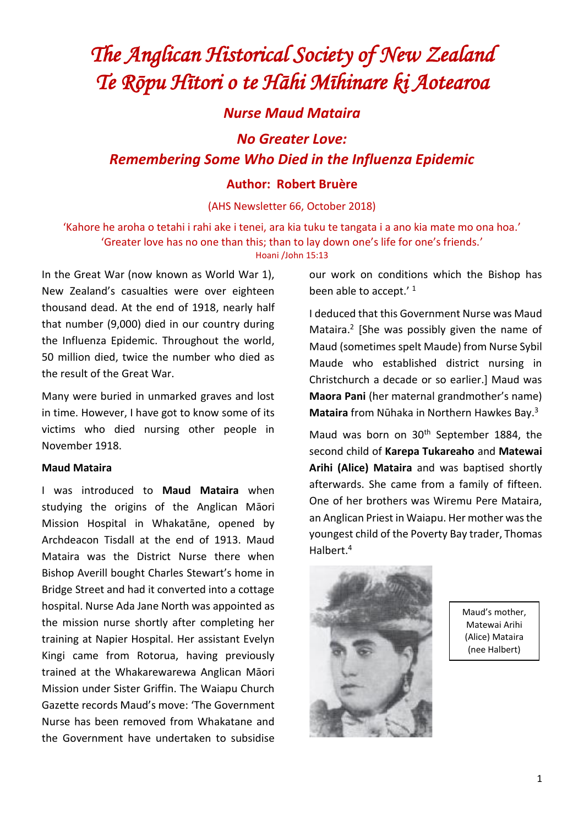# *The Anglican Historical Society of New Zealand Te Rōpu Hītori o te Hāhi Mīhinare ki Aotearoa*

*Nurse Maud Mataira*

*No Greater Love:* 

*Remembering Some Who Died in the Influenza Epidemic*

### **Author: Robert Bruѐre**

(AHS Newsletter 66, October 2018)

'Kahore he aroha o tetahi i rahi ake i tenei, ara kia tuku te tangata i a ano kia mate mo ona hoa.' 'Greater love has no one than this; than to lay down one's life for one's friends.'

#### Hoani /John 15:13

In the Great War (now known as World War 1), New Zealand's casualties were over eighteen thousand dead. At the end of 1918, nearly half that number (9,000) died in our country during the Influenza Epidemic. Throughout the world, 50 million died, twice the number who died as the result of the Great War.

Many were buried in unmarked graves and lost in time. However, I have got to know some of its victims who died nursing other people in November 1918.

#### **Maud Mataira**

I was introduced to **Maud Mataira** when studying the origins of the Anglican Māori Mission Hospital in Whakatāne, opened by Archdeacon Tisdall at the end of 1913. Maud Mataira was the District Nurse there when Bishop Averill bought Charles Stewart's home in Bridge Street and had it converted into a cottage hospital. Nurse Ada Jane North was appointed as the mission nurse shortly after completing her training at Napier Hospital. Her assistant Evelyn Kingi came from Rotorua, having previously trained at the Whakarewarewa Anglican Māori Mission under Sister Griffin. The Waiapu Church Gazette records Maud's move: 'The Government Nurse has been removed from Whakatane and the Government have undertaken to subsidise our work on conditions which the Bishop has been able to accept.'<sup>1</sup>

I deduced that this Government Nurse was Maud Mataira. 2 [She was possibly given the name of Maud (sometimes spelt Maude) from Nurse Sybil Maude who established district nursing in Christchurch a decade or so earlier.] Maud was **Maora Pani** (her maternal grandmother's name) **Mataira** from Nūhaka in Northern Hawkes Bay.<sup>3</sup>

Maud was born on 30<sup>th</sup> September 1884, the second child of **Karepa Tukareaho** and **Matewai Arihi (Alice) Mataira** and was baptised shortly afterwards. She came from a family of fifteen. One of her brothers was Wiremu Pere Mataira, an Anglican Priest in Waiapu. Her mother was the youngest child of the Poverty Bay trader, Thomas Halbert.<sup>4</sup>



Maud's mother, Matewai Arihi (Alice) Mataira (nee Halbert)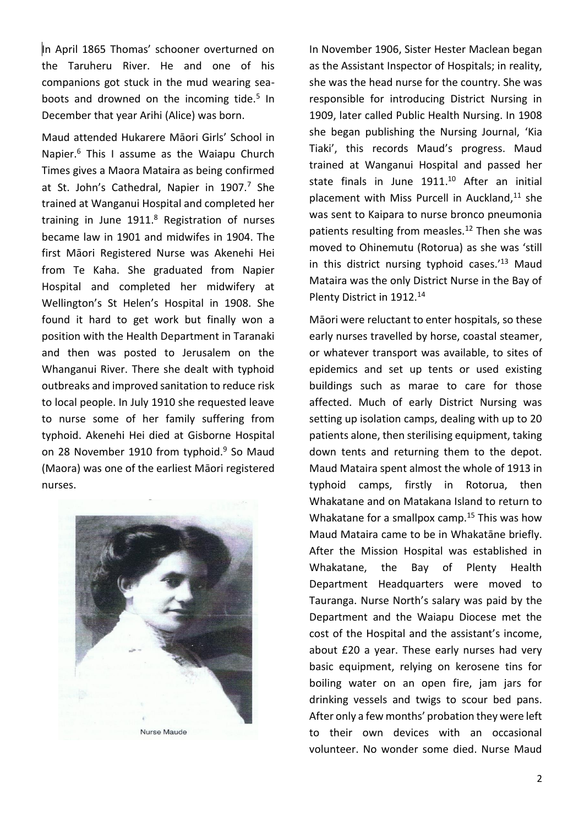In April 1865 Thomas' schooner overturned on the Taruheru River. He and one of his companions got stuck in the mud wearing seaboots and drowned on the incoming tide.<sup>5</sup> In December that year Arihi (Alice) was born.

Maud attended Hukarere Māori Girls' School in Napier.<sup>6</sup> This I assume as the Waiapu Church Times gives a Maora Mataira as being confirmed at St. John's Cathedral, Napier in  $1907$ .<sup>7</sup> She trained at Wanganui Hospital and completed her training in June 1911.<sup>8</sup> Registration of nurses became law in 1901 and midwifes in 1904. The first Māori Registered Nurse was Akenehi Hei from Te Kaha. She graduated from Napier Hospital and completed her midwifery at Wellington's St Helen's Hospital in 1908. She found it hard to get work but finally won a position with the Health Department in Taranaki and then was posted to Jerusalem on the Whanganui River. There she dealt with typhoid outbreaks and improved sanitation to reduce risk to local people. In July 1910 she requested leave to nurse some of her family suffering from typhoid. Akenehi Hei died at Gisborne Hospital on 28 November 1910 from typhoid.<sup>9</sup> So Maud (Maora) was one of the earliest Māori registered nurses.



In November 1906, Sister Hester Maclean began as the Assistant Inspector of Hospitals; in reality, she was the head nurse for the country. She was responsible for introducing District Nursing in 1909, later called Public Health Nursing. In 1908 she began publishing the Nursing Journal, 'Kia Tiaki', this records Maud's progress. Maud trained at Wanganui Hospital and passed her state finals in June 1911. <sup>10</sup> After an initial placement with Miss Purcell in Auckland, $11$  she was sent to Kaipara to nurse bronco pneumonia patients resulting from measles.<sup>12</sup> Then she was moved to Ohinemutu (Rotorua) as she was 'still in this district nursing typhoid cases.<sup>'13</sup> Maud Mataira was the only District Nurse in the Bay of Plenty District in 1912.<sup>14</sup>

Māori were reluctant to enter hospitals, so these early nurses travelled by horse, coastal steamer, or whatever transport was available, to sites of epidemics and set up tents or used existing buildings such as marae to care for those affected. Much of early District Nursing was setting up isolation camps, dealing with up to 20 patients alone, then sterilising equipment, taking down tents and returning them to the depot. Maud Mataira spent almost the whole of 1913 in typhoid camps, firstly in Rotorua, then Whakatane and on Matakana Island to return to Whakatane for a smallpox camp.<sup>15</sup> This was how Maud Mataira came to be in Whakatāne briefly. After the Mission Hospital was established in Whakatane, the Bay of Plenty Health Department Headquarters were moved to Tauranga. Nurse North's salary was paid by the Department and the Waiapu Diocese met the cost of the Hospital and the assistant's income, about £20 a year. These early nurses had very basic equipment, relying on kerosene tins for boiling water on an open fire, jam jars for drinking vessels and twigs to scour bed pans. After only a few months' probation they were left to their own devices with an occasional volunteer. No wonder some died. Nurse Maud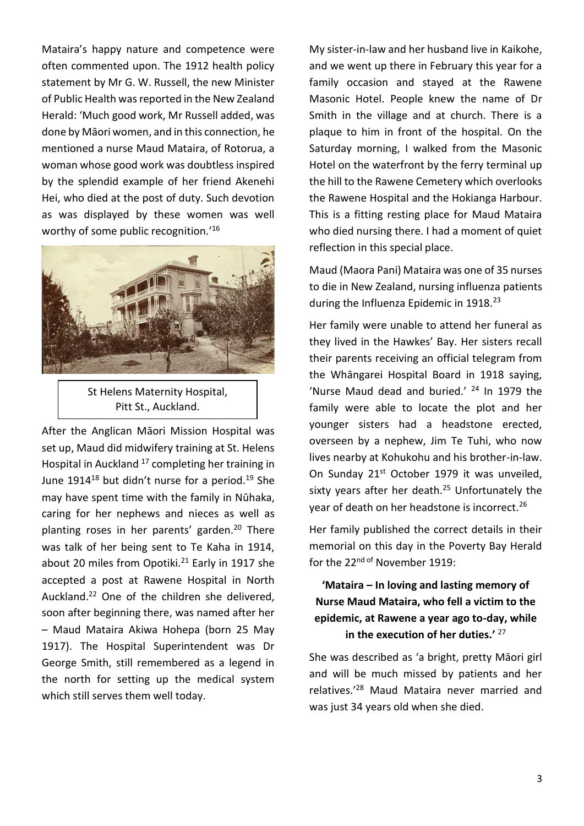Mataira's happy nature and competence were often commented upon. The 1912 health policy statement by Mr G. W. Russell, the new Minister of Public Health was reported in the New Zealand Herald: 'Much good work, Mr Russell added, was done by Māori women, and in this connection, he mentioned a nurse Maud Mataira, of Rotorua, a woman whose good work was doubtless inspired by the splendid example of her friend Akenehi Hei, who died at the post of duty. Such devotion as was displayed by these women was well worthy of some public recognition.'<sup>16</sup>



St Helens Maternity Hospital, Pitt St., Auckland.

After the Anglican Māori Mission Hospital was set up, Maud did midwifery training at St. Helens Hospital in Auckland<sup>17</sup> completing her training in June 1914<sup>18</sup> but didn't nurse for a period.<sup>19</sup> She may have spent time with the family in Nūhaka, caring for her nephews and nieces as well as planting roses in her parents' garden.<sup>20</sup> There was talk of her being sent to Te Kaha in 1914, about 20 miles from Opotiki.<sup>21</sup> Early in 1917 she accepted a post at Rawene Hospital in North Auckland.<sup>22</sup> One of the children she delivered, soon after beginning there, was named after her – Maud Mataira Akiwa Hohepa (born 25 May 1917). The Hospital Superintendent was Dr George Smith, still remembered as a legend in the north for setting up the medical system which still serves them well today.

My sister-in-law and her husband live in Kaikohe, and we went up there in February this year for a family occasion and stayed at the Rawene Masonic Hotel. People knew the name of Dr Smith in the village and at church. There is a plaque to him in front of the hospital. On the Saturday morning, I walked from the Masonic Hotel on the waterfront by the ferry terminal up the hill to the Rawene Cemetery which overlooks the Rawene Hospital and the Hokianga Harbour. This is a fitting resting place for Maud Mataira who died nursing there. I had a moment of quiet reflection in this special place.

Maud (Maora Pani) Mataira was one of 35 nurses to die in New Zealand, nursing influenza patients during the Influenza Epidemic in 1918.<sup>23</sup>

Her family were unable to attend her funeral as they lived in the Hawkes' Bay. Her sisters recall their parents receiving an official telegram from the Whāngarei Hospital Board in 1918 saying, 'Nurse Maud dead and buried.' <sup>24</sup> In 1979 the family were able to locate the plot and her younger sisters had a headstone erected, overseen by a nephew, Jim Te Tuhi, who now lives nearby at Kohukohu and his brother-in-law. On Sunday 21<sup>st</sup> October 1979 it was unveiled, sixty years after her death. $25$  Unfortunately the year of death on her headstone is incorrect.<sup>26</sup>

Her family published the correct details in their memorial on this day in the Poverty Bay Herald for the 22<sup>nd of</sup> November 1919:

# **'Mataira – In loving and lasting memory of Nurse Maud Mataira, who fell a victim to the epidemic, at Rawene a year ago to-day, while in the execution of her duties.'** 27

She was described as 'a bright, pretty Māori girl and will be much missed by patients and her relatives.' <sup>28</sup> Maud Mataira never married and was just 34 years old when she died.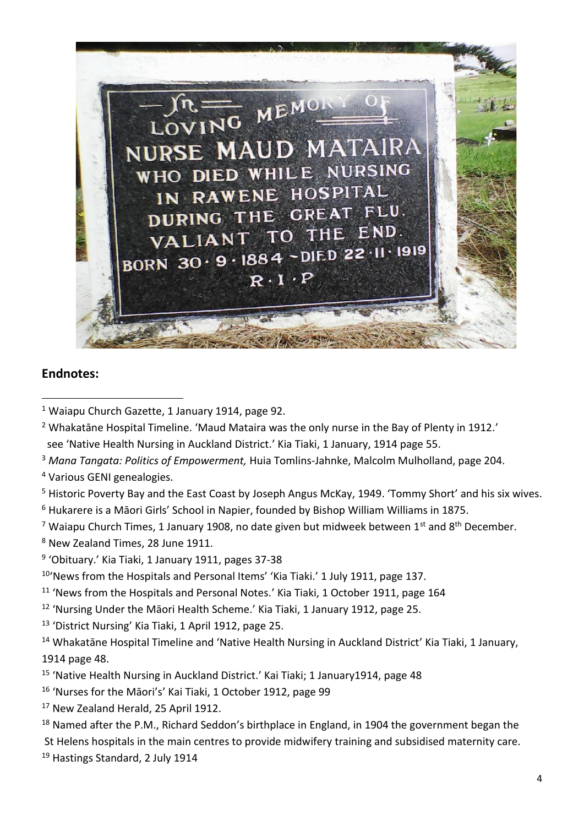

## **Endnotes:**

<sup>1</sup> Waiapu Church Gazette, 1 January 1914, page 92.

<sup>3</sup> *Mana Tangata: Politics of Empowerment,* Huia Tomlins-Jahnke, Malcolm Mulholland, page 204.

<sup>4</sup> Various GENI genealogies.

- <sup>5</sup> Historic Poverty Bay and the East Coast by Joseph Angus McKay, 1949. 'Tommy Short' and his six wives. <sup>6</sup> Hukarere is a Māori Girls' School in Napier, founded by Bishop William Williams in 1875.
- <sup>7</sup> Waiapu Church Times, 1 January 1908, no date given but midweek between  $1<sup>st</sup>$  and  $8<sup>th</sup>$  December.

<sup>8</sup> New Zealand Times, 28 June 1911.

<sup>9</sup> 'Obituary.' Kia Tiaki, 1 January 1911, pages 37-38

<sup>10</sup>'News from the Hospitals and Personal Items' 'Kia Tiaki.' 1 July 1911, page 137.

- <sup>11</sup> 'News from the Hospitals and Personal Notes.' Kia Tiaki, 1 October 1911, page 164
- <sup>12</sup> 'Nursing Under the Māori Health Scheme.' Kia Tiaki, 1 January 1912, page 25.
- <sup>13</sup> 'District Nursing' Kia Tiaki, 1 April 1912, page 25.

<sup>14</sup> Whakatāne Hospital Timeline and 'Native Health Nursing in Auckland District' Kia Tiaki, 1 January, 1914 page 48.

- <sup>15</sup> 'Native Health Nursing in Auckland District.' Kai Tiaki; 1 January1914, page 48
- <sup>16</sup> 'Nurses for the Māori's' Kai Tiaki, 1 October 1912, page 99
- <sup>17</sup> New Zealand Herald, 25 April 1912.
- <sup>18</sup> Named after the P.M., Richard Seddon's birthplace in England, in 1904 the government began the

St Helens hospitals in the main centres to provide midwifery training and subsidised maternity care.

<sup>19</sup> Hastings Standard, 2 July 1914

<sup>&</sup>lt;sup>2</sup> Whakatāne Hospital Timeline. 'Maud Mataira was the only nurse in the Bay of Plenty in 1912.' see 'Native Health Nursing in Auckland District.' Kia Tiaki, 1 January, 1914 page 55.